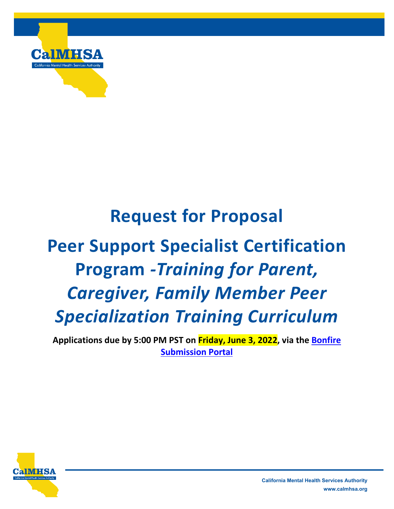

## **Request for Proposal Peer Support Specialist Certification Program** *-Training for Parent, Caregiver, Family Member Peer Specialization Training Curriculum*

**Applications due by 5:00 PM PST on Friday, June 3, 2022, via the [Bonfire](https://calmhsa.bonfirehub.com/)  [Submission Portal](https://calmhsa.bonfirehub.com/)**